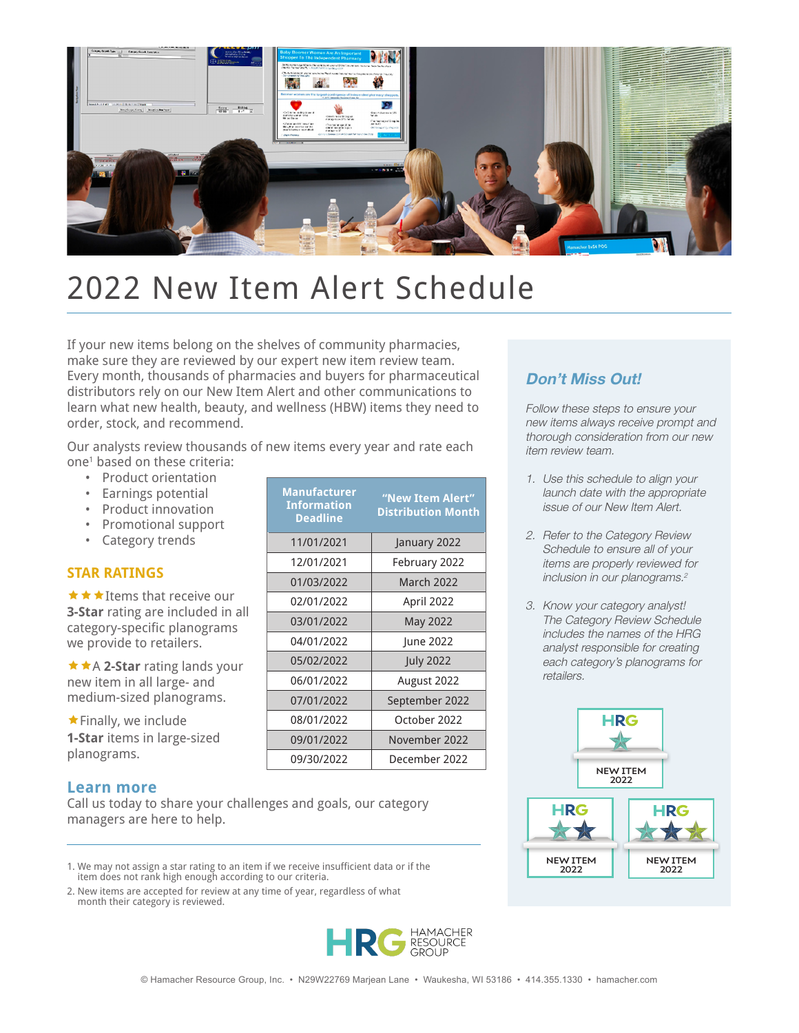

**"New Item Alert" Distribution Month**

11/01/2021 **January 2022** 12/01/2021 February 2022 01/03/2022 March 2022 02/01/2022 April 2022 03/01/2022 | May 2022 04/01/2022 | June 2022 05/02/2022 July 2022 06/01/2022 August 2022 07/01/2022 September 2022 08/01/2022 October 2022 09/01/2022 November 2022 09/30/2022 December 2022

# 2022 New Item Alert Schedule

If your new items belong on the shelves of community pharmacies, make sure they are reviewed by our expert new item review team. Every month, thousands of pharmacies and buyers for pharmaceutical distributors rely on our New Item Alert and other communications to learn what new health, beauty, and wellness (HBW) items they need to order, stock, and recommend.

Our analysts review thousands of new items every year and rate each one1 based on these criteria:

> **Manufacturer Information Deadline**

- Product orientation
- Earnings potential
- Product innovation
- Promotional support
- Category trends

#### **STAR RATINGS**

 $\star \star \star$  Items that receive our **3-Star** rating are included in all category-specific planograms we provide to retailers.

**★ ★ A 2-Star** rating lands your new item in all large- and medium-sized planograms.

 $\star$  Finally, we include **1-Star** items in large-sized planograms.

#### **Learn more**

Call us today to share your challenges and goals, our category managers are here to help.

1. We may not assign a star rating to an item if we receive insufficient data or if the item does not rank high enough according to our criteria.

2. New items are accepted for review at any time of year, regardless of what month their category is reviewed.



### Don't Miss Out!

Follow these steps to ensure your new items always receive prompt and thorough consideration from our new item review team.

- 1. Use this schedule to align your launch date with the appropriate issue of our New Item Alert.
- 2. Refer to the Category Review Schedule to ensure all of your items are properly reviewed for inclusion in our planograms.<sup>2</sup>
- 3. Know your category analyst! The Category Review Schedule includes the names of the HRG analyst responsible for creating each category's planograms for retailers.

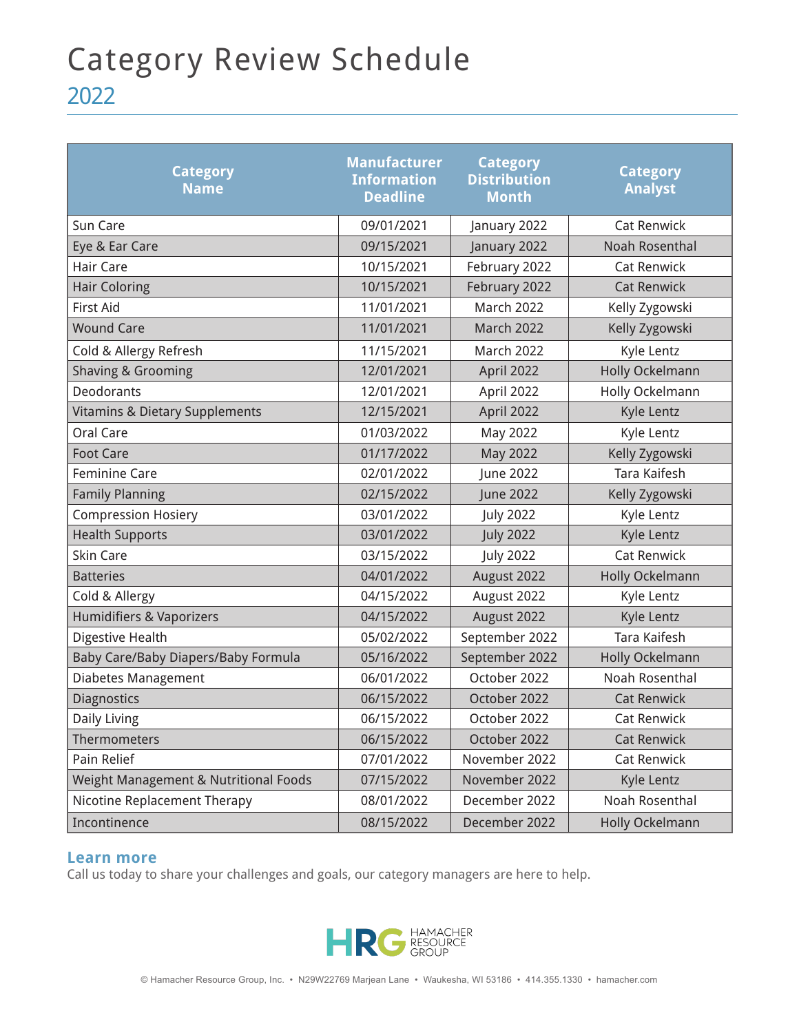# Category Review Schedule 2022

| <b>Category</b><br><b>Name</b>            | <b>Manufacturer</b><br><b>Information</b><br><b>Deadline</b> | <b>Category</b><br><b>Distribution</b><br><b>Month</b> | <b>Category</b><br><b>Analyst</b> |
|-------------------------------------------|--------------------------------------------------------------|--------------------------------------------------------|-----------------------------------|
| Sun Care                                  | 09/01/2021                                                   | January 2022                                           | <b>Cat Renwick</b>                |
| Eye & Ear Care                            | 09/15/2021                                                   | January 2022                                           | Noah Rosenthal                    |
| Hair Care                                 | 10/15/2021                                                   | February 2022                                          | <b>Cat Renwick</b>                |
| <b>Hair Coloring</b>                      | 10/15/2021                                                   | February 2022                                          | <b>Cat Renwick</b>                |
| <b>First Aid</b>                          | 11/01/2021                                                   | March 2022                                             | Kelly Zygowski                    |
| <b>Wound Care</b>                         | 11/01/2021                                                   | March 2022                                             | Kelly Zygowski                    |
| Cold & Allergy Refresh                    | 11/15/2021                                                   | <b>March 2022</b>                                      | Kyle Lentz                        |
| Shaving & Grooming                        | 12/01/2021                                                   | April 2022                                             | Holly Ockelmann                   |
| Deodorants                                | 12/01/2021                                                   | April 2022                                             | Holly Ockelmann                   |
| <b>Vitamins &amp; Dietary Supplements</b> | 12/15/2021                                                   | April 2022                                             | Kyle Lentz                        |
| Oral Care                                 | 01/03/2022                                                   | May 2022                                               | Kyle Lentz                        |
| <b>Foot Care</b>                          | 01/17/2022                                                   | May 2022                                               | Kelly Zygowski                    |
| <b>Feminine Care</b>                      | 02/01/2022                                                   | June 2022                                              | Tara Kaifesh                      |
| <b>Family Planning</b>                    | 02/15/2022                                                   | June 2022                                              | Kelly Zygowski                    |
| <b>Compression Hosiery</b>                | 03/01/2022                                                   | <b>July 2022</b>                                       | Kyle Lentz                        |
| <b>Health Supports</b>                    | 03/01/2022                                                   | <b>July 2022</b>                                       | Kyle Lentz                        |
| Skin Care                                 | 03/15/2022                                                   | <b>July 2022</b>                                       | <b>Cat Renwick</b>                |
| <b>Batteries</b>                          | 04/01/2022                                                   | August 2022                                            | Holly Ockelmann                   |
| Cold & Allergy                            | 04/15/2022                                                   | August 2022                                            | Kyle Lentz                        |
| Humidifiers & Vaporizers                  | 04/15/2022                                                   | August 2022                                            | Kyle Lentz                        |
| Digestive Health                          | 05/02/2022                                                   | September 2022                                         | Tara Kaifesh                      |
| Baby Care/Baby Diapers/Baby Formula       | 05/16/2022                                                   | September 2022                                         | Holly Ockelmann                   |
| Diabetes Management                       | 06/01/2022                                                   | October 2022                                           | Noah Rosenthal                    |
| <b>Diagnostics</b>                        | 06/15/2022                                                   | October 2022                                           | <b>Cat Renwick</b>                |
| Daily Living                              | 06/15/2022                                                   | October 2022                                           | <b>Cat Renwick</b>                |
| Thermometers                              | 06/15/2022                                                   | October 2022                                           | <b>Cat Renwick</b>                |
| Pain Relief                               | 07/01/2022                                                   | November 2022                                          | <b>Cat Renwick</b>                |
| Weight Management & Nutritional Foods     | 07/15/2022                                                   | November 2022                                          | Kyle Lentz                        |
| Nicotine Replacement Therapy              | 08/01/2022                                                   | December 2022                                          | Noah Rosenthal                    |
| Incontinence                              | 08/15/2022                                                   | December 2022                                          | Holly Ockelmann                   |

#### **Learn more**

Call us today to share your challenges and goals, our category managers are here to help.

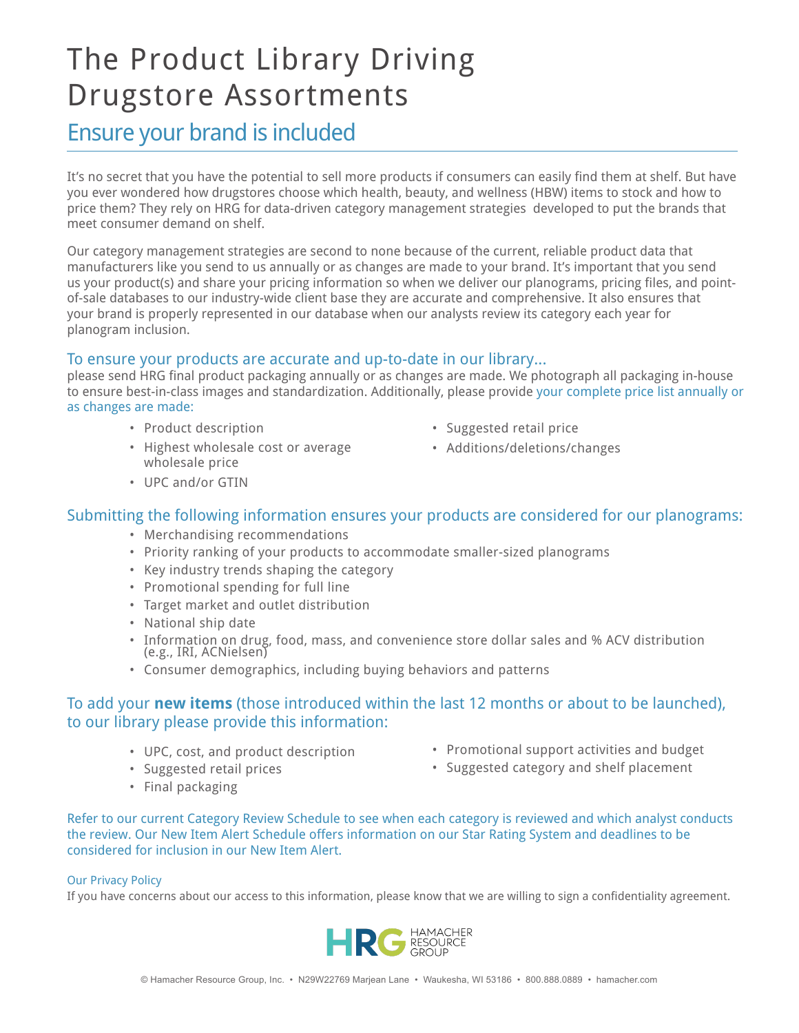# The Product Library Driving Drugstore Assortments

## Ensure your brand is included

It's no secret that you have the potential to sell more products if consumers can easily find them at shelf. But have you ever wondered how drugstores choose which health, beauty, and wellness (HBW) items to stock and how to price them? They rely on HRG for data-driven category management strategies developed to put the brands that meet consumer demand on shelf.

Our category management strategies are second to none because of the current, reliable product data that manufacturers like you send to us annually or as changes are made to your brand. It's important that you send us your product(s) and share your pricing information so when we deliver our planograms, pricing files, and pointof-sale databases to our industry-wide client base they are accurate and comprehensive. It also ensures that your brand is properly represented in our database when our analysts review its category each year for planogram inclusion.

### To ensure your products are accurate and up-to-date in our library...

please send HRG final product packaging annually or as changes are made. We photograph all packaging in-house to ensure best-in-class images and standardization. Additionally, please provide your complete price list annually or as changes are made:

- Product description
- Highest wholesale cost or average wholesale price
- Suggested retail price
- Additions/deletions/changes

• UPC and/or GTIN

### Submitting the following information ensures your products are considered for our planograms:

- Merchandising recommendations
- Priority ranking of your products to accommodate smaller-sized planograms
- Key industry trends shaping the category
- Promotional spending for full line
- Target market and outlet distribution
- National ship date
- Information on drug, food, mass, and convenience store dollar sales and % ACV distribution (e.g., IRI, ACNielsen)
- Consumer demographics, including buying behaviors and patterns

### To add your **new items** (those introduced within the last 12 months or about to be launched), to our library please provide this information:

- UPC, cost, and product description
- Suggested retail prices
- Final packaging
- Promotional support activities and budget
- Suggested category and shelf placement

Refer to our current Category Review Schedule to see when each category is reviewed and which analyst conducts the review. Our New Item Alert Schedule offers information on our Star Rating System and deadlines to be considered for inclusion in our New Item Alert.

#### Our Privacy Policy

If you have concerns about our access to this information, please know that we are willing to sign a confidentiality agreement.